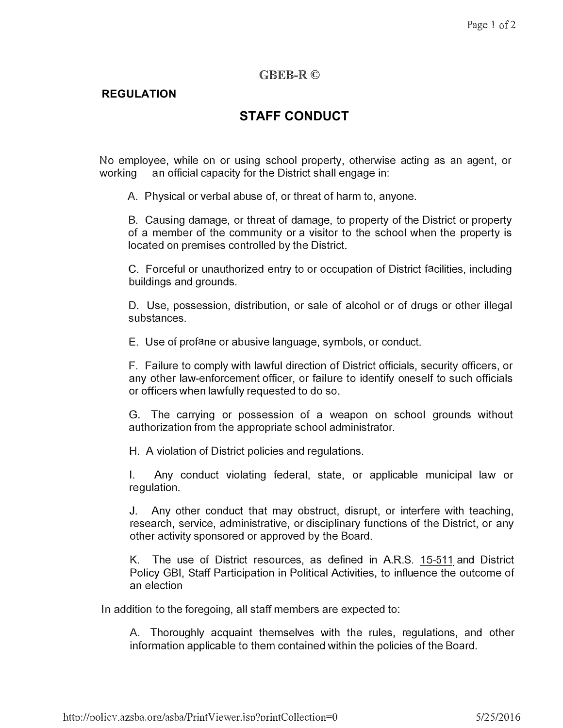## **GBEB-R©**

## **REGULATION**

## **STAFF CONDUCT**

No employee, while on or using school property, otherwise acting as an agent, or working an official capacity for the District shall engage in:

A. Physical or verbal abuse of, or threat of harm to, anyone.

B. Causing damage, or threat of damage, to property of the District or property of a member of the community or a visitor to the school when the property is located on premises controlled by the District.

C. Forceful or unauthorized entry to or occupation of District facilities, including buildings and grounds.

D. Use, possession, distribution, or sale of alcohol or of drugs or other illegal substances.

E. Use of profane or abusive language, symbols, or conduct.

F. Failure to comply with lawful direction of District officials, security officers, or any other law-enforcement officer, or failure to identify oneself to such officials or officers when lawfully requested to do so.

G. The carrying or possession of a weapon on school grounds without authorization from the appropriate school administrator.

H. A violation of District policies and regulations.

I. Any conduct violating federal, state, or applicable municipal law or regulation.

J. Any other conduct that may obstruct, disrupt, or interfere with teaching, research, service, administrative, or disciplinary functions of the District, or any other activity sponsored or approved by the Board.

K. The use of District resources, as defined in A.RS. 15-511 and District Policy GBI, Staff Participation in Political Activities, to influence the outcome of an election

In addition to the foregoing, all staff members are expected to:

A Thoroughly acquaint themselves with the rules, regulations, and other information applicable to them contained within the policies of the Board.